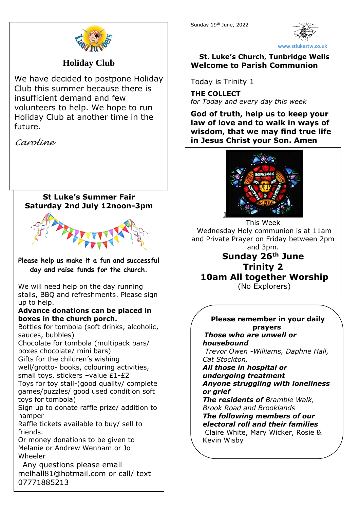

**www.stlukestw.co.uk**

## **St. Luke's Church, Tunbridge Wells Welcome to Parish Communion**

Today is Trinity 1

**THE COLLECT** *for Today and every day this week*

**God of truth, help us to keep your law of love and to walk in ways of wisdom, that we may find true life in Jesus Christ your Son. Amen**



This Week Wednesday Holy communion is at 11am and Private Prayer on Friday between 2pm and 3pm. **Sunday 26th June Trinity 2 10am All together Worship** (No Explorers)

> **Please remember in your daily prayers**

*Those who are unwell or housebound Trevor Owen -Williams, Daphne Hall, Cat Stockton,* 

### *All those in hospital or undergoing treatment Anyone struggling with loneliness or grief*

*The residents of Bramble Walk, Brook Road and Brooklands The following members of our electoral roll and their families* Claire White, Mary Wicker, Rosie & Kevin Wisby



# **Holiday Club**

We have decided to postpone Holiday Club this summer because there is insufficient demand and few volunteers to help. We hope to run Holiday Club at another time in the future.

*Caroline*

## **St Luke's Summer Fair Saturday 2nd July 12noon-3pm**



**Please help us make it a fun and successful day and raise funds for the church.** 

We will need help on the day running stalls, BBQ and refreshments. Please sign up to help.

#### **Advance donations can be placed in boxes in the church porch.**

Bottles for tombola (soft drinks, alcoholic, sauces, bubbles)

Chocolate for tombola (multipack bars/ boxes chocolate/ mini bars)

Gifts for the children's wishing

well/grotto- books, colouring activities, small toys, stickers –value £1-£2

Toys for toy stall-(good quality/ complete games/puzzles/ good used condition soft toys for tombola)

Sign up to donate raffle prize/ addition to hamper

Raffle tickets available to buy/ sell to friends.

Or money donations to be given to Melanie or Andrew Wenham or Jo Wheeler

 Any questions please email melhall81@hotmail.com or call/ text 07771885213